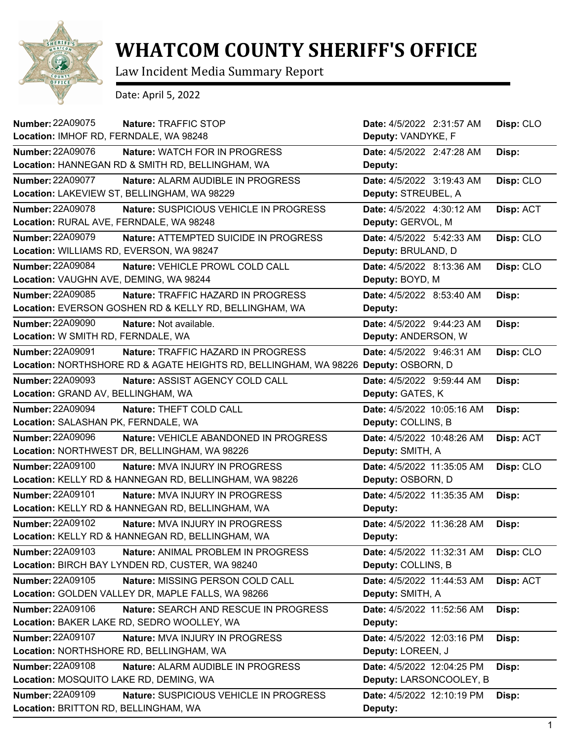

## **WHATCOM COUNTY SHERIFF'S OFFICE**

Law Incident Media Summary Report

Date: April 5, 2022

| <b>Number: 22A09075</b><br>Nature: TRAFFIC STOP                                    | Date: 4/5/2022 2:31:57 AM  | Disp: CLO |
|------------------------------------------------------------------------------------|----------------------------|-----------|
| Location: IMHOF RD, FERNDALE, WA 98248                                             | Deputy: VANDYKE, F         |           |
| <b>Number: 22A09076</b><br><b>Nature: WATCH FOR IN PROGRESS</b>                    | Date: 4/5/2022 2:47:28 AM  | Disp:     |
| Location: HANNEGAN RD & SMITH RD, BELLINGHAM, WA                                   | Deputy:                    |           |
| Number: 22A09077<br>Nature: ALARM AUDIBLE IN PROGRESS                              | Date: 4/5/2022 3:19:43 AM  | Disp: CLO |
| Location: LAKEVIEW ST, BELLINGHAM, WA 98229                                        | Deputy: STREUBEL, A        |           |
| <b>Number: 22A09078</b><br>Nature: SUSPICIOUS VEHICLE IN PROGRESS                  | Date: 4/5/2022 4:30:12 AM  | Disp: ACT |
| Location: RURAL AVE, FERNDALE, WA 98248                                            | Deputy: GERVOL, M          |           |
| <b>Number: 22A09079</b><br>Nature: ATTEMPTED SUICIDE IN PROGRESS                   | Date: 4/5/2022 5:42:33 AM  | Disp: CLO |
| Location: WILLIAMS RD, EVERSON, WA 98247                                           | Deputy: BRULAND, D         |           |
| <b>Number: 22A09084</b><br>Nature: VEHICLE PROWL COLD CALL                         | Date: 4/5/2022 8:13:36 AM  | Disp: CLO |
| Location: VAUGHN AVE, DEMING, WA 98244                                             | Deputy: BOYD, M            |           |
| <b>Number: 22A09085</b><br>Nature: TRAFFIC HAZARD IN PROGRESS                      | Date: 4/5/2022 8:53:40 AM  | Disp:     |
| Location: EVERSON GOSHEN RD & KELLY RD, BELLINGHAM, WA                             | Deputy:                    |           |
| <b>Number: 22A09090</b><br>Nature: Not available.                                  | Date: 4/5/2022 9:44:23 AM  | Disp:     |
| Location: W SMITH RD, FERNDALE, WA                                                 | Deputy: ANDERSON, W        |           |
| <b>Number: 22A09091</b><br>Nature: TRAFFIC HAZARD IN PROGRESS                      | Date: 4/5/2022 9:46:31 AM  | Disp: CLO |
| Location: NORTHSHORE RD & AGATE HEIGHTS RD, BELLINGHAM, WA 98226 Deputy: OSBORN, D |                            |           |
| <b>Number: 22A09093</b><br>Nature: ASSIST AGENCY COLD CALL                         | Date: 4/5/2022 9:59:44 AM  | Disp:     |
| Location: GRAND AV, BELLINGHAM, WA                                                 | Deputy: GATES, K           |           |
| <b>Number: 22A09094</b><br>Nature: THEFT COLD CALL                                 | Date: 4/5/2022 10:05:16 AM | Disp:     |
| Location: SALASHAN PK, FERNDALE, WA                                                | Deputy: COLLINS, B         |           |
| <b>Number: 22A09096</b><br>Nature: VEHICLE ABANDONED IN PROGRESS                   | Date: 4/5/2022 10:48:26 AM | Disp: ACT |
| Location: NORTHWEST DR, BELLINGHAM, WA 98226                                       | Deputy: SMITH, A           |           |
| <b>Number: 22A09100</b><br>Nature: MVA INJURY IN PROGRESS                          | Date: 4/5/2022 11:35:05 AM | Disp: CLO |
| Location: KELLY RD & HANNEGAN RD, BELLINGHAM, WA 98226                             | Deputy: OSBORN, D          |           |
| Number: 22A09101<br>Nature: MVA INJURY IN PROGRESS                                 | Date: 4/5/2022 11:35:35 AM | Disp:     |
| Location: KELLY RD & HANNEGAN RD, BELLINGHAM, WA                                   | Deputy:                    |           |
| Number: 22A09102<br>Nature: MVA INJURY IN PROGRESS                                 | Date: 4/5/2022 11:36:28 AM | Disp:     |
| Location: KELLY RD & HANNEGAN RD, BELLINGHAM, WA                                   | Deputy:                    |           |
| Number: 22A09103<br>Nature: ANIMAL PROBLEM IN PROGRESS                             | Date: 4/5/2022 11:32:31 AM | Disp: CLO |
| Location: BIRCH BAY LYNDEN RD, CUSTER, WA 98240                                    | Deputy: COLLINS, B         |           |
| Number: 22A09105<br>Nature: MISSING PERSON COLD CALL                               | Date: 4/5/2022 11:44:53 AM | Disp: ACT |
| Location: GOLDEN VALLEY DR, MAPLE FALLS, WA 98266                                  | Deputy: SMITH, A           |           |
| Number: 22A09106<br>Nature: SEARCH AND RESCUE IN PROGRESS                          | Date: 4/5/2022 11:52:56 AM | Disp:     |
| Location: BAKER LAKE RD, SEDRO WOOLLEY, WA                                         | Deputy:                    |           |
| <b>Number: 22A09107</b><br>Nature: MVA INJURY IN PROGRESS                          | Date: 4/5/2022 12:03:16 PM | Disp:     |
| Location: NORTHSHORE RD, BELLINGHAM, WA                                            | Deputy: LOREEN, J          |           |
| Number: 22A09108<br>Nature: ALARM AUDIBLE IN PROGRESS                              | Date: 4/5/2022 12:04:25 PM | Disp:     |
| Location: MOSQUITO LAKE RD, DEMING, WA                                             | Deputy: LARSONCOOLEY, B    |           |
| <b>Number: 22A09109</b><br>Nature: SUSPICIOUS VEHICLE IN PROGRESS                  | Date: 4/5/2022 12:10:19 PM | Disp:     |
| Location: BRITTON RD, BELLINGHAM, WA                                               | Deputy:                    |           |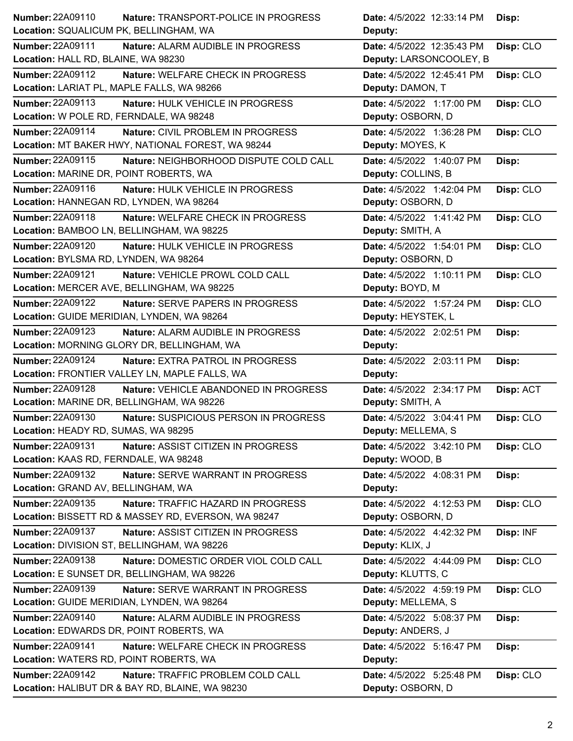| <b>Number: 22A09110</b>                     | Nature: TRANSPORT-POLICE IN PROGRESS                | Date: 4/5/2022 12:33:14 PM | Disp:     |
|---------------------------------------------|-----------------------------------------------------|----------------------------|-----------|
| Location: SQUALICUM PK, BELLINGHAM, WA      |                                                     | Deputy:                    |           |
| Number: 22A09111                            | Nature: ALARM AUDIBLE IN PROGRESS                   | Date: 4/5/2022 12:35:43 PM | Disp: CLO |
| Location: HALL RD, BLAINE, WA 98230         |                                                     | Deputy: LARSONCOOLEY, B    |           |
| <b>Number: 22A09112</b>                     | Nature: WELFARE CHECK IN PROGRESS                   | Date: 4/5/2022 12:45:41 PM | Disp: CLO |
| Location: LARIAT PL, MAPLE FALLS, WA 98266  |                                                     | Deputy: DAMON, T           |           |
| Number: 22A09113                            | Nature: HULK VEHICLE IN PROGRESS                    | Date: 4/5/2022 1:17:00 PM  | Disp: CLO |
| Location: W POLE RD, FERNDALE, WA 98248     |                                                     | Deputy: OSBORN, D          |           |
| Number: 22A09114                            | Nature: CIVIL PROBLEM IN PROGRESS                   | Date: 4/5/2022 1:36:28 PM  | Disp: CLO |
|                                             | Location: MT BAKER HWY, NATIONAL FOREST, WA 98244   | Deputy: MOYES, K           |           |
| Number: 22A09115                            | Nature: NEIGHBORHOOD DISPUTE COLD CALL              | Date: 4/5/2022 1:40:07 PM  | Disp:     |
| Location: MARINE DR, POINT ROBERTS, WA      |                                                     | Deputy: COLLINS, B         |           |
| Number: 22A09116                            | Nature: HULK VEHICLE IN PROGRESS                    | Date: 4/5/2022 1:42:04 PM  | Disp: CLO |
| Location: HANNEGAN RD, LYNDEN, WA 98264     |                                                     | Deputy: OSBORN, D          |           |
| Number: 22A09118                            | Nature: WELFARE CHECK IN PROGRESS                   | Date: 4/5/2022 1:41:42 PM  | Disp: CLO |
| Location: BAMBOO LN, BELLINGHAM, WA 98225   |                                                     | Deputy: SMITH, A           |           |
| <b>Number: 22A09120</b>                     | Nature: HULK VEHICLE IN PROGRESS                    | Date: 4/5/2022 1:54:01 PM  | Disp: CLO |
| Location: BYLSMA RD, LYNDEN, WA 98264       |                                                     | Deputy: OSBORN, D          |           |
| Number: 22A09121                            | Nature: VEHICLE PROWL COLD CALL                     | Date: 4/5/2022 1:10:11 PM  | Disp: CLO |
|                                             | Location: MERCER AVE, BELLINGHAM, WA 98225          | Deputy: BOYD, M            |           |
| <b>Number: 22A09122</b>                     | Nature: SERVE PAPERS IN PROGRESS                    | Date: 4/5/2022 1:57:24 PM  | Disp: CLO |
| Location: GUIDE MERIDIAN, LYNDEN, WA 98264  |                                                     | Deputy: HEYSTEK, L         |           |
| Number: 22A09123                            | <b>Nature: ALARM AUDIBLE IN PROGRESS</b>            | Date: 4/5/2022 2:02:51 PM  | Disp:     |
|                                             | Location: MORNING GLORY DR, BELLINGHAM, WA          | Deputy:                    |           |
| <b>Number: 22A09124</b>                     | Nature: EXTRA PATROL IN PROGRESS                    | Date: 4/5/2022 2:03:11 PM  | Disp:     |
|                                             | Location: FRONTIER VALLEY LN, MAPLE FALLS, WA       | Deputy:                    |           |
| <b>Number: 22A09128</b>                     | Nature: VEHICLE ABANDONED IN PROGRESS               | Date: 4/5/2022 2:34:17 PM  | Disp: ACT |
| Location: MARINE DR, BELLINGHAM, WA 98226   |                                                     | Deputy: SMITH, A           |           |
| <b>Number: 22A09130</b>                     | Nature: SUSPICIOUS PERSON IN PROGRESS               | Date: 4/5/2022 3:04:41 PM  | Disp: CLO |
| Location: HEADY RD, SUMAS, WA 98295         |                                                     | Deputy: MELLEMA, S         |           |
| <b>Number: 22A09131</b>                     | Nature: ASSIST CITIZEN IN PROGRESS                  | Date: 4/5/2022 3:42:10 PM  | Disp: CLO |
| Location: KAAS RD, FERNDALE, WA 98248       |                                                     | Deputy: WOOD, B            |           |
| Number: 22A09132                            | Nature: SERVE WARRANT IN PROGRESS                   | Date: 4/5/2022 4:08:31 PM  | Disp:     |
| Location: GRAND AV, BELLINGHAM, WA          |                                                     | Deputy:                    |           |
| Number: 22A09135                            | Nature: TRAFFIC HAZARD IN PROGRESS                  | Date: 4/5/2022 4:12:53 PM  | Disp: CLO |
|                                             | Location: BISSETT RD & MASSEY RD, EVERSON, WA 98247 | Deputy: OSBORN, D          |           |
| <b>Number: 22A09137</b>                     | Nature: ASSIST CITIZEN IN PROGRESS                  | Date: 4/5/2022 4:42:32 PM  | Disp: INF |
| Location: DIVISION ST, BELLINGHAM, WA 98226 |                                                     | Deputy: KLIX, J            |           |
| Number: 22A09138                            | Nature: DOMESTIC ORDER VIOL COLD CALL               | Date: 4/5/2022 4:44:09 PM  | Disp: CLO |
|                                             | Location: E SUNSET DR, BELLINGHAM, WA 98226         | Deputy: KLUTTS, C          |           |
| <b>Number: 22A09139</b>                     | <b>Nature: SERVE WARRANT IN PROGRESS</b>            | Date: 4/5/2022 4:59:19 PM  | Disp: CLO |
| Location: GUIDE MERIDIAN, LYNDEN, WA 98264  |                                                     | Deputy: MELLEMA, S         |           |
| <b>Number: 22A09140</b>                     | Nature: ALARM AUDIBLE IN PROGRESS                   | Date: 4/5/2022 5:08:37 PM  | Disp:     |
| Location: EDWARDS DR, POINT ROBERTS, WA     |                                                     | Deputy: ANDERS, J          |           |
| <b>Number: 22A09141</b>                     | Nature: WELFARE CHECK IN PROGRESS                   | Date: 4/5/2022 5:16:47 PM  | Disp:     |
| Location: WATERS RD, POINT ROBERTS, WA      |                                                     | Deputy:                    |           |
| <b>Number: 22A09142</b>                     | Nature: TRAFFIC PROBLEM COLD CALL                   | Date: 4/5/2022 5:25:48 PM  | Disp: CLO |
|                                             | Location: HALIBUT DR & BAY RD, BLAINE, WA 98230     | Deputy: OSBORN, D          |           |
|                                             |                                                     |                            |           |